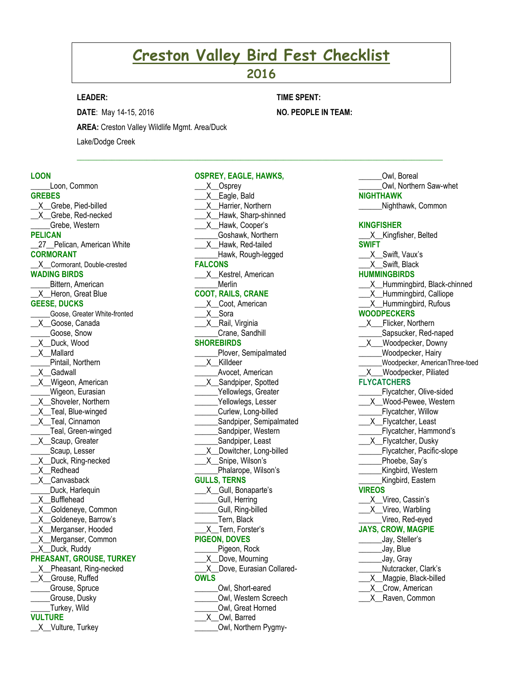# **Creston Valley Bird Fest Checklist**

# **2016**

 $\mathcal{L}_\mathcal{L} = \{ \mathcal{L}_\mathcal{L} = \{ \mathcal{L}_\mathcal{L} = \{ \mathcal{L}_\mathcal{L} = \{ \mathcal{L}_\mathcal{L} = \{ \mathcal{L}_\mathcal{L} = \{ \mathcal{L}_\mathcal{L} = \{ \mathcal{L}_\mathcal{L} = \{ \mathcal{L}_\mathcal{L} = \{ \mathcal{L}_\mathcal{L} = \{ \mathcal{L}_\mathcal{L} = \{ \mathcal{L}_\mathcal{L} = \{ \mathcal{L}_\mathcal{L} = \{ \mathcal{L}_\mathcal{L} = \{ \mathcal{L}_\mathcal{$ 

**OSPREY, EAGLE, HAWKS,** 

# **LEADER:**

**DATE**: May 14-15, 2016

**TIME SPENT:**

**NO. PEOPLE IN TEAM:** 

**AREA:** Creston Valley Wildlife Mgmt. Area/Duck

Lake/Dodge Creek

#### **LOON**

**\_\_\_\_\_**Loon, Common **GREBES** \_\_X\_\_Grebe, Pied-billed X Grebe, Red-necked \_\_\_\_\_Grebe, Western **PELICAN** 27\_Pelican, American White **CORMORANT** \_\_X\_\_Cormorant, Double-crested **WADING BIRDS \_\_\_\_**\_Bittern, American X Heron, Great Blue **GEESE, DUCKS** \_\_\_\_\_Goose, Greater White-fronted \_\_X\_\_Goose, Canada \_\_\_\_\_Goose, Snow \_\_X\_\_Duck, Wood \_\_X\_\_Mallard \_\_\_\_\_Pintail, Northern \_\_X\_\_Gadwall \_\_X\_\_Wigeon, American Wigeon, Eurasian \_\_X\_\_Shoveler, Northern \_X\_Teal, Blue-winged \_\_X\_\_Teal, Cinnamon \_\_\_\_\_Teal, Green-winged X Scaup, Greater Scaup, Lesser \_\_X\_\_Duck, Ring-necked \_\_X\_\_Redhead X\_Canvasback Duck, Harlequin \_\_X\_\_Bufflehead \_X\_Goldeneye, Common \_\_X\_\_Goldeneye, Barrow's \_\_X\_\_Merganser, Hooded \_\_X\_\_Merganser, Common \_\_X\_\_Duck, Ruddy **PHEASANT, GROUSE, TURKEY** X Pheasant, Ring-necked \_\_X\_\_Grouse, Ruffed \_\_\_\_\_Grouse, Spruce \_\_\_\_\_Grouse, Dusky \_\_\_\_\_Turkey, Wild **VULTURE**

\_\_X\_\_Vulture, Turkey

X\_Osprey \_\_\_X\_\_Eagle, Bald \_\_\_X\_\_Harrier, Northern X\_Hawk, Sharp-shinned \_\_\_X\_\_Hawk, Cooper's \_\_\_\_\_\_Goshawk, Northern \_\_\_X\_\_Hawk, Red-tailed Hawk, Rough-legged **FALCONS** \_\_\_X\_\_Kestrel, American \_\_\_\_\_\_Merlin **COOT, RAILS, CRANE** \_\_\_X\_\_Coot, American \_\_\_X\_\_Sora \_\_\_X\_\_Rail, Virginia \_\_\_\_\_\_Crane, Sandhill **SHOREBIRDS** Plover, Semipalmated \_\_\_X\_\_Killdeer \_\_\_\_\_\_Avocet, American X\_Sandpiper, Spotted Yellowlegs, Greater Yellowlegs, Lesser \_\_\_\_\_\_Curlew, Long-billed Sandpiper, Semipalmated Sandpiper, Western Sandpiper, Least \_\_\_X\_\_Dowitcher, Long-billed \_\_\_X\_\_Snipe, Wilson's \_\_\_\_\_\_Phalarope, Wilson's **GULLS, TERNS** \_\_\_X\_\_Gull, Bonaparte's Gull, Herring Gull, Ring-billed Tern, Black \_\_\_X\_\_Tern, Forster's **PIGEON, DOVES** \_\_\_\_\_\_Pigeon, Rock X\_Dove, Mourning X Dove, Eurasian Collared-**OWLS** \_\_\_\_\_\_Owl, Short-eared \_\_\_\_\_\_Owl, Western Screech \_\_\_\_\_\_Owl, Great Horned \_\_\_X\_\_Owl, Barred Owl, Northern Pygmy-

**NIGHTHAWK \_\_\_\_\_\_**Nighthawk, Common **KINGFISHER** \_X\_\_Kingfisher, Belted **SWIFT** \_\_\_X\_\_Swift, Vaux's \_\_\_X\_\_Swift, Black **HUMMINGBIRDS** \_X\_\_Hummingbird, Black-chinned X\_Hummingbird, Calliope X Hummingbird, Rufous **WOODPECKERS** \_\_X\_\_\_Flicker, Northern \_\_\_\_\_Sapsucker, Red-naped<br>\_X\_\_\_Woodpecker, Downv \_\_X\_\_\_Woodpecker, Downy \_\_\_\_\_\_Woodpecker, Hairy \_\_\_\_\_\_Woodpecker, AmericanThree-toed \_\_X\_\_\_Woodpecker, Piliated **FLYCATCHERS** Flycatcher, Olive-sided \_\_\_X\_\_Wood-Pewee, Western **\_\_\_\_\_\_**Flycatcher, Willow X Flycatcher, Least Flycatcher, Hammond's X\_Flycatcher, Dusky Flycatcher, Pacific-slope Phoebe, Say's \_\_\_\_\_\_Kingbird, Western Kingbird, Eastern **VIREOS \_\_\_**X\_\_Vireo, Cassin's X\_Vireo, Warbling \_\_\_\_\_\_Vireo, Red-eyed **JAYS, CROW, MAGPIE** \_\_\_\_\_\_Jay, Steller's \_\_\_\_\_\_Jay, Blue \_\_\_\_\_\_Jay, Gray \_\_\_\_\_\_Nutcracker, Clark's \_X\_\_Magpie, Black-billed \_\_\_X\_\_Crow, American \_\_\_X\_\_Raven, Common

\_\_\_\_\_\_Owl, Boreal

\_\_\_\_\_\_Owl, Northern Saw-whet